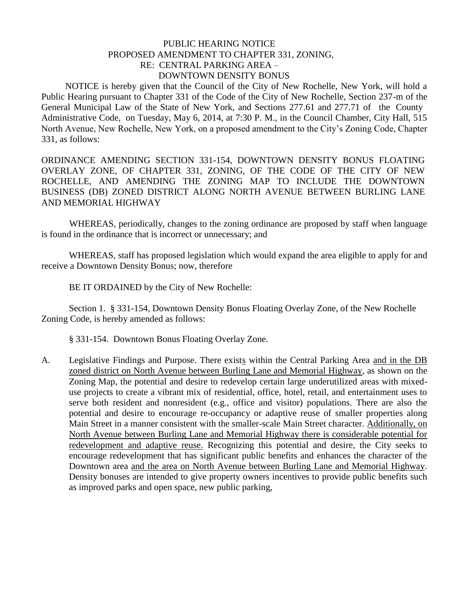## PUBLIC HEARING NOTICE PROPOSED AMENDMENT TO CHAPTER 331, ZONING, RE: CENTRAL PARKING AREA – DOWNTOWN DENSITY BONUS

 NOTICE is hereby given that the Council of the City of New Rochelle, New York, will hold a Public Hearing pursuant to Chapter 331 of the Code of the City of New Rochelle, Section 237-m of the General Municipal Law of the State of New York, and Sections 277.61 and 277.71 of the County Administrative Code, on Tuesday, May 6, 2014, at 7:30 P. M., in the Council Chamber, City Hall, 515 North Avenue, New Rochelle, New York, on a proposed amendment to the City's Zoning Code, Chapter 331, as follows:

ORDINANCE AMENDING SECTION 331-154, DOWNTOWN DENSITY BONUS FLOATING OVERLAY ZONE, OF CHAPTER 331, ZONING, OF THE CODE OF THE CITY OF NEW ROCHELLE, AND AMENDING THE ZONING MAP TO INCLUDE THE DOWNTOWN BUSINESS (DB) ZONED DISTRICT ALONG NORTH AVENUE BETWEEN BURLING LANE AND MEMORIAL HIGHWAY

 WHEREAS, periodically, changes to the zoning ordinance are proposed by staff when language is found in the ordinance that is incorrect or unnecessary; and

 WHEREAS, staff has proposed legislation which would expand the area eligible to apply for and receive a Downtown Density Bonus; now, therefore

BE IT ORDAINED by the City of New Rochelle:

Section 1. § 331-154, Downtown Density Bonus Floating Overlay Zone, of the New Rochelle Zoning Code, is hereby amended as follows:

§ 331-154. Downtown Bonus Floating Overlay Zone.

A. Legislative Findings and Purpose. There exists within the Central Parking Area and in the DB zoned district on North Avenue between Burling Lane and Memorial Highway, as shown on the Zoning Map, the potential and desire to redevelop certain large underutilized areas with mixeduse projects to create a vibrant mix of residential, office, hotel, retail, and entertainment uses to serve both resident and nonresident (e.g., office and visitor) populations. There are also the potential and desire to encourage re-occupancy or adaptive reuse of smaller properties along Main Street in a manner consistent with the smaller-scale Main Street character. Additionally, on North Avenue between Burling Lane and Memorial Highway there is considerable potential for redevelopment and adaptive reuse. Recognizing this potential and desire, the City seeks to encourage redevelopment that has significant public benefits and enhances the character of the Downtown area and the area on North Avenue between Burling Lane and Memorial Highway. Density bonuses are intended to give property owners incentives to provide public benefits such as improved parks and open space, new public parking,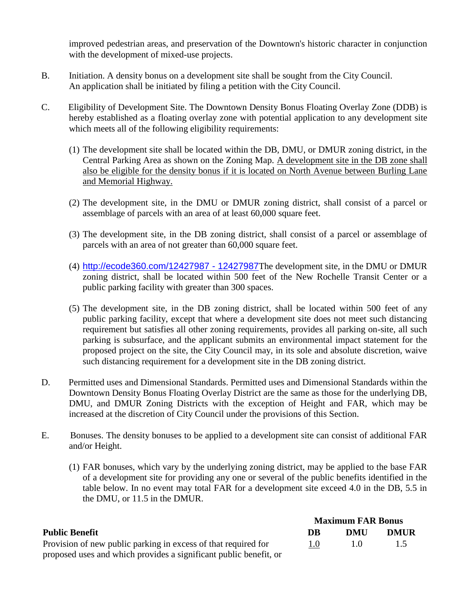improved pedestrian areas, and preservation of the Downtown's historic character in conjunction with the development of mixed-use projects.

- B. Initiation. A density bonus on a development site shall be sought from the City Council. An application shall be initiated by filing a petition with the City Council.
- C. Eligibility of Development Site. The Downtown Density Bonus Floating Overlay Zone (DDB) is hereby established as a floating overlay zone with potential application to any development site which meets all of the following eligibility requirements:
	- (1) The development site shall be located within the DB, DMU, or DMUR zoning district, in the Central Parking Area as shown on the Zoning Map. A development site in the DB zone shall also be eligible for the density bonus if it is located on North Avenue between Burling Lane and Memorial Highway.
	- (2) The development site, in the DMU or DMUR zoning district, shall consist of a parcel or assemblage of parcels with an area of at least 60,000 square feet.
	- (3) The development site, in the DB zoning district, shall consist of a parcel or assemblage of parcels with an area of not greater than 60,000 square feet.
	- (4) [http://ecode360.com/12427987 -](http://ecode360.com/12427987#12427987) 12427987The development site, in the DMU or DMUR zoning district, shall be located within 500 feet of the New Rochelle Transit Center or a public parking facility with greater than 300 spaces.
	- (5) The development site, in the DB zoning district, shall be located within 500 feet of any public parking facility, except that where a development site does not meet such distancing requirement but satisfies all other zoning requirements, provides all parking on-site, all such parking is subsurface, and the applicant submits an environmental impact statement for the proposed project on the site, the City Council may, in its sole and absolute discretion, waive such distancing requirement for a development site in the DB zoning district.
- D. Permitted uses and Dimensional Standards. Permitted uses and Dimensional Standards within the Downtown Density Bonus Floating Overlay District are the same as those for the underlying DB, DMU, and DMUR Zoning Districts with the exception of Height and FAR, which may be increased at the discretion of City Council under the provisions of this Section.
- E. Bonuses. The density bonuses to be applied to a development site can consist of additional FAR and/or Height.
	- (1) FAR bonuses, which vary by the underlying zoning district, may be applied to the base FAR of a development site for providing any one or several of the public benefits identified in the table below. In no event may total FAR for a development site exceed 4.0 in the DB, 5.5 in the DMU, or 11.5 in the DMUR.

| <b>Public Benefit</b>                                             | <b>Maximum FAR Bonus</b> |     |      |
|-------------------------------------------------------------------|--------------------------|-----|------|
|                                                                   | DB                       | DMU | DMUR |
| Provision of new public parking in excess of that required for    |                          |     | 1.5  |
| proposed uses and which provides a significant public benefit, or |                          |     |      |